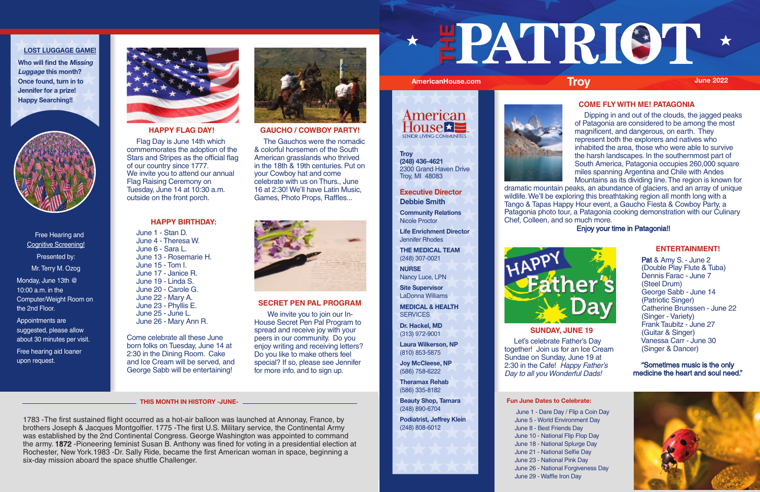| Free Hearing and            |
|-----------------------------|
| <b>Cognitive Screening!</b> |
| Presented by:               |
| Mr. Terry M. Ozog           |
| Monday, June 13th @         |
| 10:00 a.m. in the           |
| Computer/Weight Room on     |
| the 2nd Floor.              |

Appointments are suggested, please allow about 30 minutes per visit.

Free hearing aid loaner upon request.



# **LOST LUGGAGE GAME!**

**Who will find the Missing Luggage this month? Once found, turn in to Jennifer for a prize! Happy Searching!!**



## **Fun June Dates to Celebrate:**

**MEDICAL & HEALTH SERVICES** 

> June 1 - Dare Day / Flip a Coin Day June 5 - World Environment Day June 8 - Best Friends Day June 10 - National Flip Flop Day June 18 - National Splurge Day June 21 - National Selfie Day June 23 - National Pink Day June 26 - National Forgiveness Day June 29 - Waffle Iron Day

# **Executive Director Debbie Smith**

 Let's celebrate Father's Day together! Join us for an Ice Cream Sundae on Sunday, June 19 at 2:30 in the Cafe! Happy Father's Day to all you Wonderful Dads!

**Community Relations** Nicole Proctor

**Life Enrichment Director** Jennifer Rhodes

**THE MEDICAL TEAM** (248) 307-0021

**NURSE** Nancy Luce, LPN

**Site Supervisor** LaDonna Williams

**Dr. Hackel, MD** (313) 972-9001

**Laura Wilkerson, NP** (810) 853-5875

**Joy McCleese, NP** (586) 758-6222

**Theramax Rehab** (586) 335-8182

**Beauty Shop, Tamara** (248) 890-6704

**Podiatrist, Jeffrey Klein** (248) 808-6012



# **ENTERTAINMENT!**

 Pat & Amy S. - June 2 (Double Play Flute & Tuba) Dennis Farac - June 7 (Steel Drum) George Sabb - June 14 (Patriotic Singer) Catherine Brunssen - June 22 (Singer - Variety) Frank Taubitz - June 27 (Guitar & Singer) Vanessa Carr - June 30 (Singer & Dancer)

"Sometimes music is the only medicine the heart and soul need."



# **SUNDAY, JUNE 19**

# **COME FLY WITH ME! PATAGONIA**

 Dipping in and out of the clouds, the jagged peaks of Patagonia are considered to be among the most magnificent, and dangerous, on earth. They represent both the explorers and natives who inhabited the area, those who were able to survive the harsh landscapes. In the southernmost part of South America, Patagonia occupies 260,000 square miles spanning Argentina and Chile with Andes Mountains as its dividing line. The region is known for

dramatic mountain peaks, an abundance of glaciers, and an array of unique wildlife. We'll be exploring this breathtaking region all month long with a Tango & Tapas Happy Hour event, a Gaucho Fiesta & Cowboy Party, a Patagonia photo tour, a Patagonia cooking demonstration with our Culinary Chef, Colleen, and so much more.



# Enjoy your time in Patagonia!!

# **SECRET PEN PAL PROGRAM**

We invite you to join our In-House Secret Pen Pal Program to spread and receive joy with your peers in our community. Do you enjoy writing and receiving letters? Do you like to make others feel special? If so, please see Jennifer for more info. and to sign up.

## **HAPPY BIRTHDAY:**

 June 1 - Stan D. June 4 - Theresa W. June 6 - Sara L. June 13 - Rosemarie H. June 15 - Tom I. June 17 - Janice R. June 19 - Linda S. June 20 - Carole G. June 22 - Mary A. June 23 - Phyllis E. June 25 - June L. June 26 - Mary Ann R.

Come celebrate all these June born folks on Tuesday, June 14 at 2:30 in the Dining Room. Cake and Ice Cream will be served, and George Sabb will be entertaining!



# **GAUCHO / COWBOY PARTY!**

 The Gauchos were the nomadic & colorful horsemen of the South American grasslands who thrived in the 18th & 19th centuries. Put on your Cowboy hat and come celebrate with us on Thurs., June 16 at 2:30! We'll have Latin Music, Games, Photo Props, Raffles...



# **HAPPY FLAG DAY!**

 Flag Day is June 14th which commemorates the adoption of the Stars and Stripes as the official flag of our country since 1777. We invite you to attend our annual Flag Raising Ceremony on Tuesday, June 14 at 10:30 a.m. outside on the front porch.

1783 -The first sustained flight occurred as a hot-air balloon was launched at Annonay, France, by brothers Joseph & Jacques Montgolfier. 1775 -The first U.S. Military service, the Continental Army was established by the 2nd Continental Congress. George Washington was appointed to command the army. 1872 -Pioneering feminist Susan B. Anthony was fined for voting in a presidential election at Rochester, New York.1983 -Dr. Sally Ride, became the first American woman in space, beginning a six-day mission aboard the space shuttle Challenger.

**THE** 



### **THIS MONTH IN HISTORY -JUNE-**



**Troy (248) 436-4621** 2300 Grand Haven Drive Troy, MI 48083